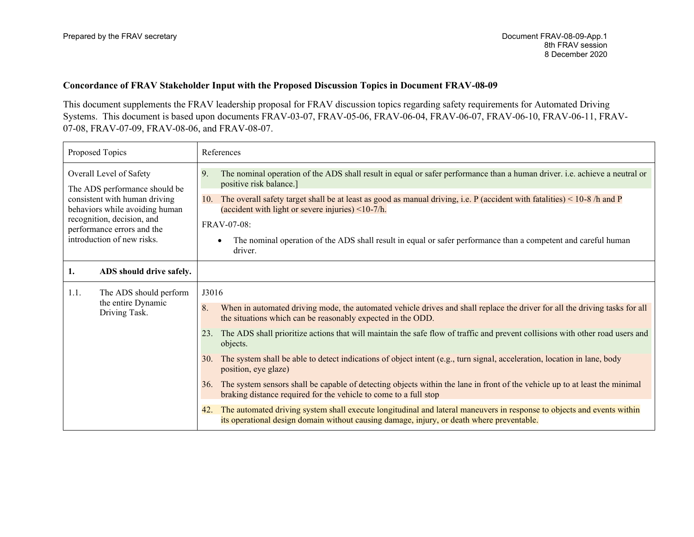## **Concordance of FRAV Stakeholder Input with the Proposed Discussion Topics in Document FRAV-08-09**

This document supplements the FRAV leadership proposal for FRAV discussion topics regarding safety requirements for Automated Driving Systems. This document is based upon documents FRAV-03-07, FRAV-05-06, FRAV-06-04, FRAV-06-07, FRAV-06-10, FRAV-06-11, FRAV-07-08, FRAV-07-09, FRAV-08-06, and FRAV-08-07.

| Proposed Topics                                                                                                                                                                                                       |                                                               | References                                                                                                                                                                                                                                                                                                                                                                                                                                                                                                                                                                                                                                                                                                                                                                                                                                                                                                                                                       |
|-----------------------------------------------------------------------------------------------------------------------------------------------------------------------------------------------------------------------|---------------------------------------------------------------|------------------------------------------------------------------------------------------------------------------------------------------------------------------------------------------------------------------------------------------------------------------------------------------------------------------------------------------------------------------------------------------------------------------------------------------------------------------------------------------------------------------------------------------------------------------------------------------------------------------------------------------------------------------------------------------------------------------------------------------------------------------------------------------------------------------------------------------------------------------------------------------------------------------------------------------------------------------|
| Overall Level of Safety<br>The ADS performance should be<br>consistent with human driving<br>behaviors while avoiding human<br>recognition, decision, and<br>performance errors and the<br>introduction of new risks. |                                                               | The nominal operation of the ADS shall result in equal or safer performance than a human driver. i.e. achieve a neutral or<br>9.<br>positive risk balance.]<br>The overall safety target shall be at least as good as manual driving, i.e. P (accident with fatalities) $<$ 10-8 /h and P<br>10.<br>(accident with light or severe injuries) $\leq$ 10-7/h.<br>FRAV-07-08:<br>The nominal operation of the ADS shall result in equal or safer performance than a competent and careful human<br>driver.                                                                                                                                                                                                                                                                                                                                                                                                                                                          |
| 1.                                                                                                                                                                                                                    | ADS should drive safely.                                      |                                                                                                                                                                                                                                                                                                                                                                                                                                                                                                                                                                                                                                                                                                                                                                                                                                                                                                                                                                  |
| 1.1.                                                                                                                                                                                                                  | The ADS should perform<br>the entire Dynamic<br>Driving Task. | J3016<br>8.<br>When in automated driving mode, the automated vehicle drives and shall replace the driver for all the driving tasks for all<br>the situations which can be reasonably expected in the ODD.<br>The ADS shall prioritize actions that will maintain the safe flow of traffic and prevent collisions with other road users and<br>23.<br>objects.<br>The system shall be able to detect indications of object intent (e.g., turn signal, acceleration, location in lane, body<br>30.<br>position, eye glaze)<br>The system sensors shall be capable of detecting objects within the lane in front of the vehicle up to at least the minimal<br>36.<br>braking distance required for the vehicle to come to a full stop<br>The automated driving system shall execute longitudinal and lateral maneuvers in response to objects and events within<br>42.<br>its operational design domain without causing damage, injury, or death where preventable. |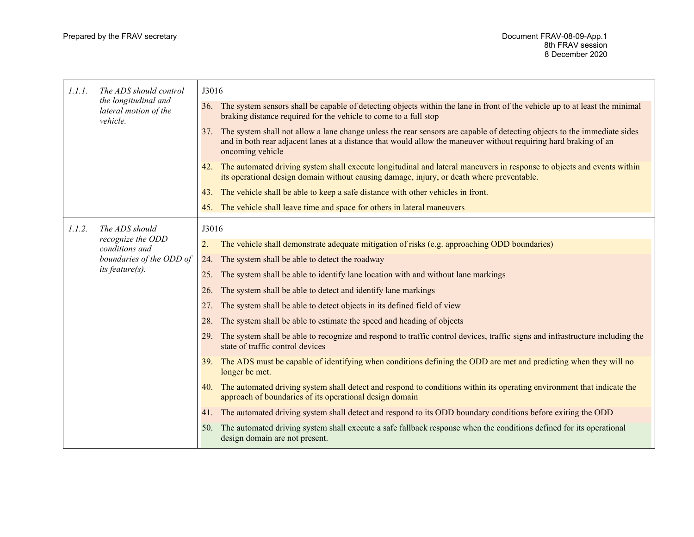| 1.1.1. | The ADS should control<br>the longitudinal and<br>lateral motion of the<br>vehicle. | J3016                                                                                                                                                                                                                                                                |
|--------|-------------------------------------------------------------------------------------|----------------------------------------------------------------------------------------------------------------------------------------------------------------------------------------------------------------------------------------------------------------------|
|        |                                                                                     | 36. The system sensors shall be capable of detecting objects within the lane in front of the vehicle up to at least the minimal<br>braking distance required for the vehicle to come to a full stop                                                                  |
|        |                                                                                     | 37. The system shall not allow a lane change unless the rear sensors are capable of detecting objects to the immediate sides<br>and in both rear adjacent lanes at a distance that would allow the maneuver without requiring hard braking of an<br>oncoming vehicle |
|        |                                                                                     | The automated driving system shall execute longitudinal and lateral maneuvers in response to objects and events within<br>42.<br>its operational design domain without causing damage, injury, or death where preventable.                                           |
|        |                                                                                     | 43. The vehicle shall be able to keep a safe distance with other vehicles in front.                                                                                                                                                                                  |
|        |                                                                                     | The vehicle shall leave time and space for others in lateral maneuvers<br>45.                                                                                                                                                                                        |
| 1.1.2. | The ADS should                                                                      | J3016                                                                                                                                                                                                                                                                |
|        | recognize the ODD<br>conditions and                                                 | 2.<br>The vehicle shall demonstrate adequate mitigation of risks (e.g. approaching ODD boundaries)                                                                                                                                                                   |
|        | boundaries of the ODD of<br>its feature $(s)$ .                                     | The system shall be able to detect the roadway<br>24.                                                                                                                                                                                                                |
|        |                                                                                     | The system shall be able to identify lane location with and without lane markings<br>25.                                                                                                                                                                             |
|        |                                                                                     | The system shall be able to detect and identify lane markings<br>26.                                                                                                                                                                                                 |
|        |                                                                                     | The system shall be able to detect objects in its defined field of view<br>27.                                                                                                                                                                                       |
|        |                                                                                     | The system shall be able to estimate the speed and heading of objects<br>28.                                                                                                                                                                                         |
|        |                                                                                     | The system shall be able to recognize and respond to traffic control devices, traffic signs and infrastructure including the<br>29.<br>state of traffic control devices                                                                                              |
|        |                                                                                     | The ADS must be capable of identifying when conditions defining the ODD are met and predicting when they will no<br>39.<br>longer be met.                                                                                                                            |
|        |                                                                                     | The automated driving system shall detect and respond to conditions within its operating environment that indicate the<br>40.<br>approach of boundaries of its operational design domain                                                                             |
|        |                                                                                     | 41. The automated driving system shall detect and respond to its ODD boundary conditions before exiting the ODD                                                                                                                                                      |
|        |                                                                                     | The automated driving system shall execute a safe fallback response when the conditions defined for its operational<br>50.<br>design domain are not present.                                                                                                         |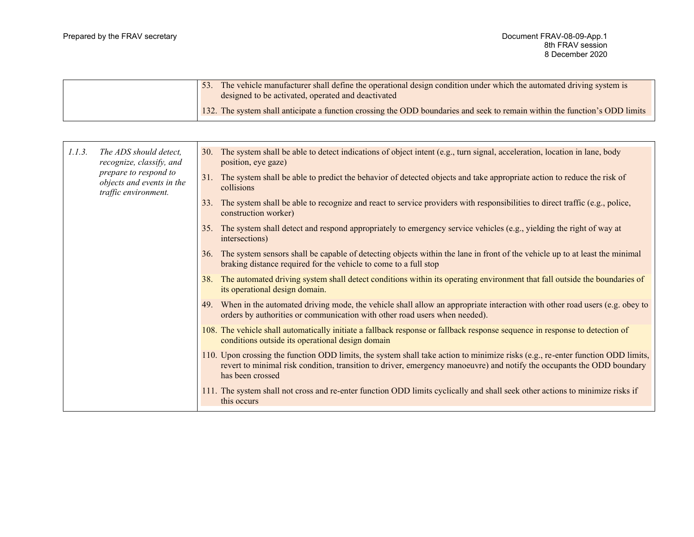| The vehicle manufacturer shall define the operational design condition under which the automated driving system is<br>designed to be activated, operated and deactivated |
|--------------------------------------------------------------------------------------------------------------------------------------------------------------------------|
| 132. The system shall anticipate a function crossing the ODD boundaries and seek to remain within the function's ODD limits                                              |

| 1.1.3. | The ADS should detect,<br>recognize, classify, and<br>prepare to respond to | The system shall be able to detect indications of object intent (e.g., turn signal, acceleration, location in lane, body<br><b>30.</b><br>position, eye gaze)                                                                                                                 |
|--------|-----------------------------------------------------------------------------|-------------------------------------------------------------------------------------------------------------------------------------------------------------------------------------------------------------------------------------------------------------------------------|
|        | objects and events in the<br>traffic environment.                           | The system shall be able to predict the behavior of detected objects and take appropriate action to reduce the risk of<br>31.<br>collisions                                                                                                                                   |
|        |                                                                             | The system shall be able to recognize and react to service providers with responsibilities to direct traffic (e.g., police,<br>33.<br>construction worker)                                                                                                                    |
|        |                                                                             | The system shall detect and respond appropriately to emergency service vehicles (e.g., yielding the right of way at<br>35.<br>intersections)                                                                                                                                  |
|        |                                                                             | The system sensors shall be capable of detecting objects within the lane in front of the vehicle up to at least the minimal<br>36.<br>braking distance required for the vehicle to come to a full stop                                                                        |
|        |                                                                             | The automated driving system shall detect conditions within its operating environment that fall outside the boundaries of<br>38.<br>its operational design domain.                                                                                                            |
|        |                                                                             | When in the automated driving mode, the vehicle shall allow an appropriate interaction with other road users (e.g. obey to<br>49.<br>orders by authorities or communication with other road users when needed).                                                               |
|        |                                                                             | 108. The vehicle shall automatically initiate a fallback response or fallback response sequence in response to detection of<br>conditions outside its operational design domain                                                                                               |
|        |                                                                             | 110. Upon crossing the function ODD limits, the system shall take action to minimize risks (e.g., re-enter function ODD limits,<br>revert to minimal risk condition, transition to driver, emergency manoeuvre) and notify the occupants the ODD boundary<br>has been crossed |
|        |                                                                             | 111. The system shall not cross and re-enter function ODD limits cyclically and shall seek other actions to minimize risks if<br>this occurs                                                                                                                                  |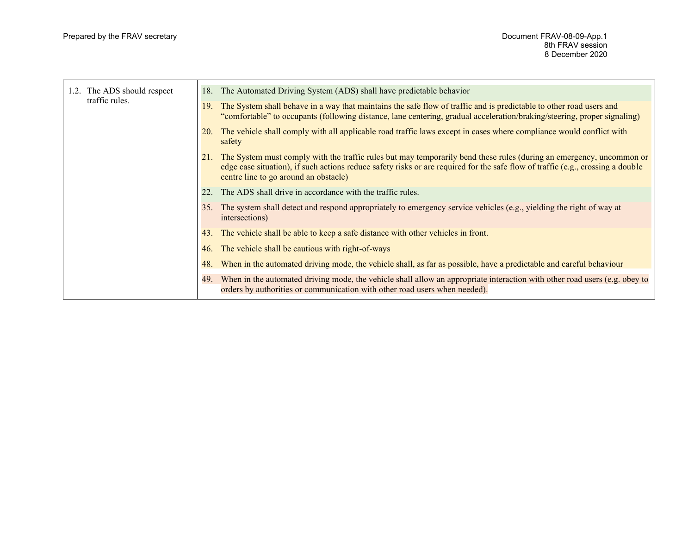| 1.2. The ADS should respect | 18. | The Automated Driving System (ADS) shall have predictable behavior                                                                                                                                                                                                                               |
|-----------------------------|-----|--------------------------------------------------------------------------------------------------------------------------------------------------------------------------------------------------------------------------------------------------------------------------------------------------|
| traffic rules.              | 19. | The System shall behave in a way that maintains the safe flow of traffic and is predictable to other road users and<br>"comfortable" to occupants (following distance, lane centering, gradual acceleration/braking/steering, proper signaling)                                                  |
|                             | 20. | The vehicle shall comply with all applicable road traffic laws except in cases where compliance would conflict with<br>safety                                                                                                                                                                    |
|                             | 21. | The System must comply with the traffic rules but may temporarily bend these rules (during an emergency, uncommon or<br>edge case situation), if such actions reduce safety risks or are required for the safe flow of traffic (e.g., crossing a double<br>centre line to go around an obstacle) |
|                             |     | The ADS shall drive in accordance with the traffic rules.                                                                                                                                                                                                                                        |
|                             |     | 35. The system shall detect and respond appropriately to emergency service vehicles (e.g., yielding the right of way at<br>intersections)                                                                                                                                                        |
|                             |     | 43. The vehicle shall be able to keep a safe distance with other vehicles in front.                                                                                                                                                                                                              |
|                             |     | 46. The vehicle shall be cautious with right-of-ways                                                                                                                                                                                                                                             |
|                             | 48. | When in the automated driving mode, the vehicle shall, as far as possible, have a predictable and careful behaviour                                                                                                                                                                              |
|                             | 49. | When in the automated driving mode, the vehicle shall allow an appropriate interaction with other road users (e.g. obey to<br>orders by authorities or communication with other road users when needed).                                                                                         |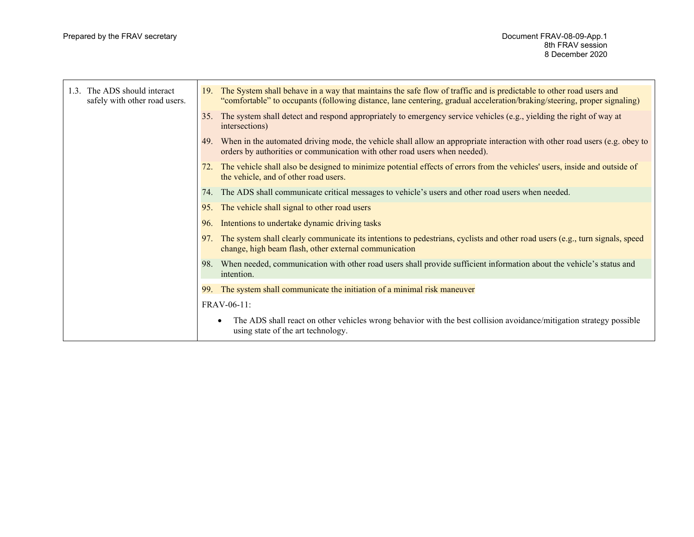| 1.3. The ADS should interact<br>safely with other road users. | The System shall behave in a way that maintains the safe flow of traffic and is predictable to other road users and<br>19.<br>"comfortable" to occupants (following distance, lane centering, gradual acceleration/braking/steering, proper signaling) |
|---------------------------------------------------------------|--------------------------------------------------------------------------------------------------------------------------------------------------------------------------------------------------------------------------------------------------------|
|                                                               | The system shall detect and respond appropriately to emergency service vehicles (e.g., yielding the right of way at<br>35.<br>intersections)                                                                                                           |
|                                                               | When in the automated driving mode, the vehicle shall allow an appropriate interaction with other road users (e.g. obey to<br>49.<br>orders by authorities or communication with other road users when needed).                                        |
|                                                               | The vehicle shall also be designed to minimize potential effects of errors from the vehicles' users, inside and outside of<br>72.<br>the vehicle, and of other road users.                                                                             |
|                                                               | The ADS shall communicate critical messages to vehicle's users and other road users when needed.<br>74.                                                                                                                                                |
|                                                               | The vehicle shall signal to other road users<br>95.                                                                                                                                                                                                    |
|                                                               | Intentions to undertake dynamic driving tasks<br>96.                                                                                                                                                                                                   |
|                                                               | The system shall clearly communicate its intentions to pedestrians, cyclists and other road users (e.g., turn signals, speed<br>97.<br>change, high beam flash, other external communication                                                           |
|                                                               | When needed, communication with other road users shall provide sufficient information about the vehicle's status and<br>98.<br>intention.                                                                                                              |
|                                                               | The system shall communicate the initiation of a minimal risk maneuver<br>99.                                                                                                                                                                          |
|                                                               | FRAV-06-11:                                                                                                                                                                                                                                            |
|                                                               | The ADS shall react on other vehicles wrong behavior with the best collision avoidance/mitigation strategy possible<br>using state of the art technology.                                                                                              |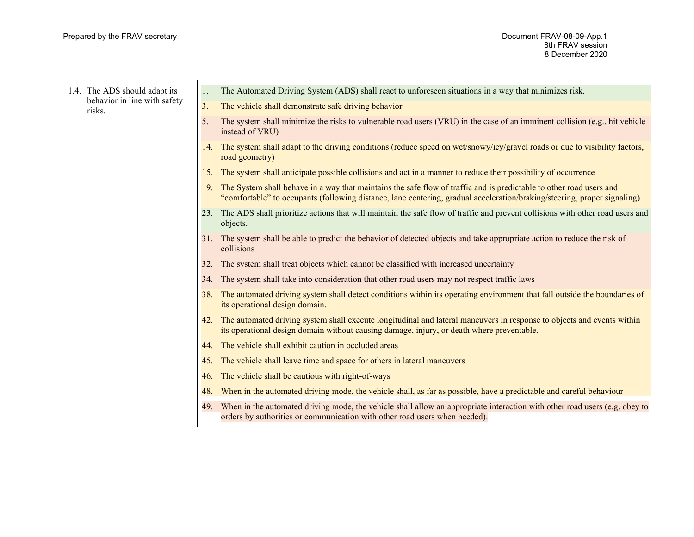|  | 1.4. The ADS should adapt its<br>behavior in line with safety<br>risks. | 1.  | The Automated Driving System (ADS) shall react to unforeseen situations in a way that minimizes risk.                                                                                                                                           |
|--|-------------------------------------------------------------------------|-----|-------------------------------------------------------------------------------------------------------------------------------------------------------------------------------------------------------------------------------------------------|
|  |                                                                         | 3.  | The vehicle shall demonstrate safe driving behavior                                                                                                                                                                                             |
|  |                                                                         | 5.  | The system shall minimize the risks to vulnerable road users (VRU) in the case of an imminent collision (e.g., hit vehicle<br>instead of VRU)                                                                                                   |
|  |                                                                         |     | 14. The system shall adapt to the driving conditions (reduce speed on wet/snowy/icy/gravel roads or due to visibility factors,<br>road geometry)                                                                                                |
|  |                                                                         |     | 15. The system shall anticipate possible collisions and act in a manner to reduce their possibility of occurrence                                                                                                                               |
|  |                                                                         | 19. | The System shall behave in a way that maintains the safe flow of traffic and is predictable to other road users and<br>"comfortable" to occupants (following distance, lane centering, gradual acceleration/braking/steering, proper signaling) |
|  |                                                                         |     | 23. The ADS shall prioritize actions that will maintain the safe flow of traffic and prevent collisions with other road users and<br>objects.                                                                                                   |
|  |                                                                         |     | 31. The system shall be able to predict the behavior of detected objects and take appropriate action to reduce the risk of<br>collisions                                                                                                        |
|  |                                                                         |     | 32. The system shall treat objects which cannot be classified with increased uncertainty                                                                                                                                                        |
|  |                                                                         | 34. | The system shall take into consideration that other road users may not respect traffic laws                                                                                                                                                     |
|  |                                                                         | 38. | The automated driving system shall detect conditions within its operating environment that fall outside the boundaries of<br>its operational design domain.                                                                                     |
|  |                                                                         |     | 42. The automated driving system shall execute longitudinal and lateral maneuvers in response to objects and events within<br>its operational design domain without causing damage, injury, or death where preventable.                         |
|  |                                                                         | 44. | The vehicle shall exhibit caution in occluded areas                                                                                                                                                                                             |
|  |                                                                         | 45. | The vehicle shall leave time and space for others in lateral maneuvers                                                                                                                                                                          |
|  |                                                                         | 46. | The vehicle shall be cautious with right-of-ways                                                                                                                                                                                                |
|  |                                                                         | 48. | When in the automated driving mode, the vehicle shall, as far as possible, have a predictable and careful behaviour                                                                                                                             |
|  |                                                                         | 49. | When in the automated driving mode, the vehicle shall allow an appropriate interaction with other road users (e.g. obey to<br>orders by authorities or communication with other road users when needed).                                        |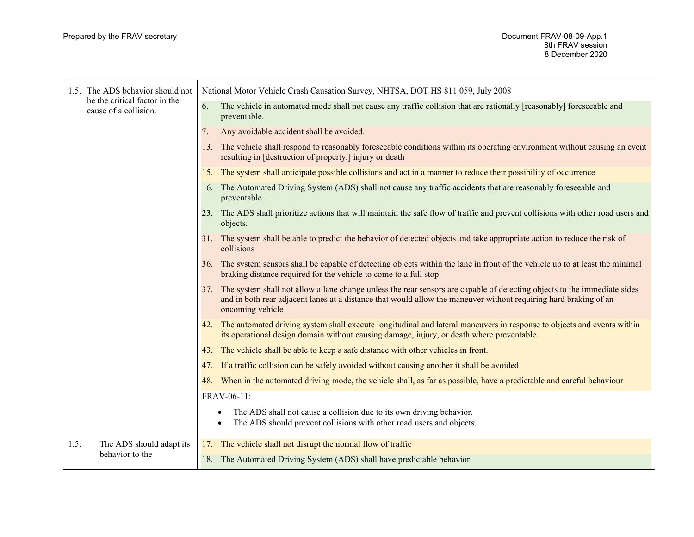| 1.5. The ADS behavior should not                       | National Motor Vehicle Crash Causation Survey, NHTSA, DOT HS 811 059, July 2008                                                                                                                                                                                      |
|--------------------------------------------------------|----------------------------------------------------------------------------------------------------------------------------------------------------------------------------------------------------------------------------------------------------------------------|
| be the critical factor in the<br>cause of a collision. | 6.<br>The vehicle in automated mode shall not cause any traffic collision that are rationally [reasonably] foreseeable and<br>preventable.                                                                                                                           |
|                                                        | Any avoidable accident shall be avoided.<br>7.                                                                                                                                                                                                                       |
|                                                        | 13. The vehicle shall respond to reasonably foreseeable conditions within its operating environment without causing an event<br>resulting in [destruction of property,] injury or death                                                                              |
|                                                        | 15. The system shall anticipate possible collisions and act in a manner to reduce their possibility of occurrence                                                                                                                                                    |
|                                                        | 16. The Automated Driving System (ADS) shall not cause any traffic accidents that are reasonably foreseeable and<br>preventable.                                                                                                                                     |
|                                                        | 23. The ADS shall prioritize actions that will maintain the safe flow of traffic and prevent collisions with other road users and<br>objects.                                                                                                                        |
|                                                        | 31. The system shall be able to predict the behavior of detected objects and take appropriate action to reduce the risk of<br>collisions                                                                                                                             |
|                                                        | 36. The system sensors shall be capable of detecting objects within the lane in front of the vehicle up to at least the minimal<br>braking distance required for the vehicle to come to a full stop                                                                  |
|                                                        | 37. The system shall not allow a lane change unless the rear sensors are capable of detecting objects to the immediate sides<br>and in both rear adjacent lanes at a distance that would allow the maneuver without requiring hard braking of an<br>oncoming vehicle |
|                                                        | 42. The automated driving system shall execute longitudinal and lateral maneuvers in response to objects and events within<br>its operational design domain without causing damage, injury, or death where preventable.                                              |
|                                                        | 43. The vehicle shall be able to keep a safe distance with other vehicles in front.                                                                                                                                                                                  |
|                                                        | 47. If a traffic collision can be safely avoided without causing another it shall be avoided                                                                                                                                                                         |
|                                                        | 48. When in the automated driving mode, the vehicle shall, as far as possible, have a predictable and careful behaviour                                                                                                                                              |
|                                                        | FRAV-06-11:                                                                                                                                                                                                                                                          |
|                                                        | The ADS shall not cause a collision due to its own driving behavior.<br>The ADS should prevent collisions with other road users and objects.                                                                                                                         |
| The ADS should adapt its<br>1.5.                       | 17. The vehicle shall not disrupt the normal flow of traffic                                                                                                                                                                                                         |
| behavior to the                                        | 18. The Automated Driving System (ADS) shall have predictable behavior                                                                                                                                                                                               |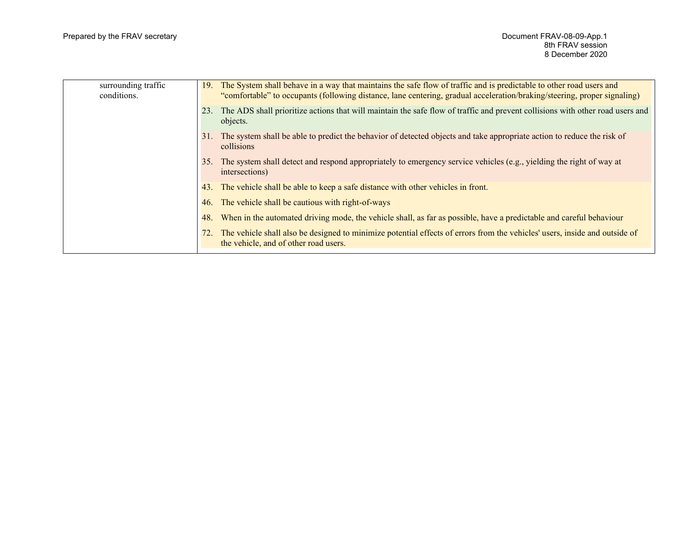| surrounding traffic<br>conditions. | 19. | The System shall behave in a way that maintains the safe flow of traffic and is predictable to other road users and<br>"comfortable" to occupants (following distance, lane centering, gradual acceleration/braking/steering, proper signaling) |
|------------------------------------|-----|-------------------------------------------------------------------------------------------------------------------------------------------------------------------------------------------------------------------------------------------------|
|                                    | 23. | The ADS shall prioritize actions that will maintain the safe flow of traffic and prevent collisions with other road users and<br>objects.                                                                                                       |
|                                    |     | The system shall be able to predict the behavior of detected objects and take appropriate action to reduce the risk of<br>collisions                                                                                                            |
|                                    | 35. | The system shall detect and respond appropriately to emergency service vehicles (e.g., yielding the right of way at<br>intersections)                                                                                                           |
|                                    |     | The vehicle shall be able to keep a safe distance with other vehicles in front.                                                                                                                                                                 |
|                                    |     | The vehicle shall be cautious with right-of-ways                                                                                                                                                                                                |
|                                    | 48. | When in the automated driving mode, the vehicle shall, as far as possible, have a predictable and careful behaviour                                                                                                                             |
|                                    |     | The vehicle shall also be designed to minimize potential effects of errors from the vehicles' users, inside and outside of<br>the vehicle, and of other road users.                                                                             |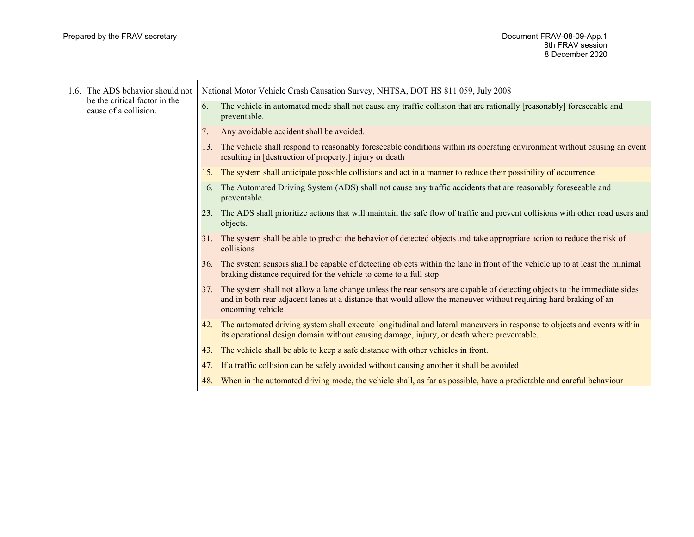|  | 1.6. The ADS behavior should not<br>be the critical factor in the<br>cause of a collision. |     | National Motor Vehicle Crash Causation Survey, NHTSA, DOT HS 811 059, July 2008                                                                                                                                                                                      |
|--|--------------------------------------------------------------------------------------------|-----|----------------------------------------------------------------------------------------------------------------------------------------------------------------------------------------------------------------------------------------------------------------------|
|  |                                                                                            | 6.  | The vehicle in automated mode shall not cause any traffic collision that are rationally [reasonably] foreseeable and<br>preventable.                                                                                                                                 |
|  |                                                                                            | 7.  | Any avoidable accident shall be avoided.                                                                                                                                                                                                                             |
|  |                                                                                            |     | The vehicle shall respond to reasonably foreseeable conditions within its operating environment without causing an event<br>resulting in [destruction of property,] injury or death                                                                                  |
|  |                                                                                            | 15. | The system shall anticipate possible collisions and act in a manner to reduce their possibility of occurrence                                                                                                                                                        |
|  |                                                                                            | 16. | The Automated Driving System (ADS) shall not cause any traffic accidents that are reasonably foreseeable and<br>preventable.                                                                                                                                         |
|  |                                                                                            |     | 23. The ADS shall prioritize actions that will maintain the safe flow of traffic and prevent collisions with other road users and<br>objects.                                                                                                                        |
|  |                                                                                            |     | 31. The system shall be able to predict the behavior of detected objects and take appropriate action to reduce the risk of<br>collisions                                                                                                                             |
|  |                                                                                            |     | 36. The system sensors shall be capable of detecting objects within the lane in front of the vehicle up to at least the minimal<br>braking distance required for the vehicle to come to a full stop                                                                  |
|  |                                                                                            |     | 37. The system shall not allow a lane change unless the rear sensors are capable of detecting objects to the immediate sides<br>and in both rear adjacent lanes at a distance that would allow the maneuver without requiring hard braking of an<br>oncoming vehicle |
|  |                                                                                            | 42. | The automated driving system shall execute longitudinal and lateral maneuvers in response to objects and events within<br>its operational design domain without causing damage, injury, or death where preventable.                                                  |
|  |                                                                                            |     | 43. The vehicle shall be able to keep a safe distance with other vehicles in front.                                                                                                                                                                                  |
|  |                                                                                            |     | 47. If a traffic collision can be safely avoided without causing another it shall be avoided                                                                                                                                                                         |
|  |                                                                                            |     | 48. When in the automated driving mode, the vehicle shall, as far as possible, have a predictable and careful behaviour                                                                                                                                              |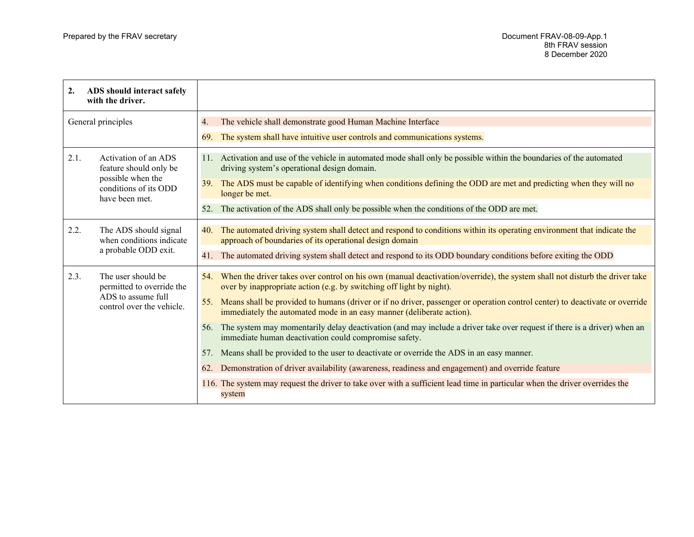| 2.<br>ADS should interact safely<br>with the driver.         |                                                                                                                                                                                                             |
|--------------------------------------------------------------|-------------------------------------------------------------------------------------------------------------------------------------------------------------------------------------------------------------|
| General principles                                           | The vehicle shall demonstrate good Human Machine Interface<br>4.                                                                                                                                            |
|                                                              | The system shall have intuitive user controls and communications systems.<br>69.                                                                                                                            |
| 2.1.<br>Activation of an ADS<br>feature should only be       | Activation and use of the vehicle in automated mode shall only be possible within the boundaries of the automated<br>11.<br>driving system's operational design domain.                                     |
| possible when the<br>conditions of its ODD<br>have been met. | The ADS must be capable of identifying when conditions defining the ODD are met and predicting when they will no<br>39.<br>longer be met.                                                                   |
|                                                              | The activation of the ADS shall only be possible when the conditions of the ODD are met.<br>52.                                                                                                             |
| 2.2.<br>The ADS should signal<br>when conditions indicate    | The automated driving system shall detect and respond to conditions within its operating environment that indicate the<br>40.<br>approach of boundaries of its operational design domain                    |
| a probable ODD exit.                                         | 41.<br>The automated driving system shall detect and respond to its ODD boundary conditions before exiting the ODD                                                                                          |
| 2.3.<br>The user should be<br>permitted to override the      | When the driver takes over control on his own (manual deactivation/override), the system shall not disturb the driver take<br>54.<br>over by inappropriate action (e.g. by switching off light by night).   |
| ADS to assume full<br>control over the vehicle.              | 55.<br>Means shall be provided to humans (driver or if no driver, passenger or operation control center) to deactivate or override<br>immediately the automated mode in an easy manner (deliberate action). |
|                                                              | The system may momentarily delay deactivation (and may include a driver take over request if there is a driver) when an<br>56.<br>immediate human deactivation could compromise safety.                     |
|                                                              | Means shall be provided to the user to deactivate or override the ADS in an easy manner.<br>57.                                                                                                             |
|                                                              | Demonstration of driver availability (awareness, readiness and engagement) and override feature<br>62.                                                                                                      |
|                                                              | 116. The system may request the driver to take over with a sufficient lead time in particular when the driver overrides the<br>system                                                                       |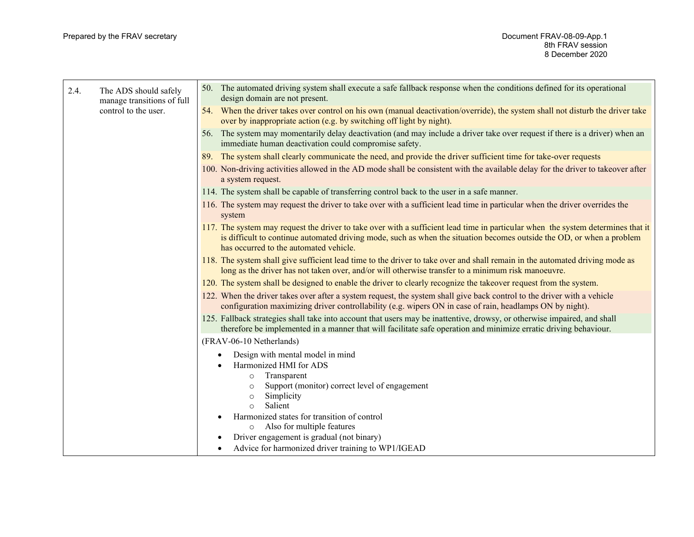| 2.4. | The ADS should safely<br>manage transitions of full<br>control to the user. | 50. The automated driving system shall execute a safe fallback response when the conditions defined for its operational<br>design domain are not present.                                                                                                                                           |
|------|-----------------------------------------------------------------------------|-----------------------------------------------------------------------------------------------------------------------------------------------------------------------------------------------------------------------------------------------------------------------------------------------------|
|      |                                                                             | 54. When the driver takes over control on his own (manual deactivation/override), the system shall not disturb the driver take<br>over by inappropriate action (e.g. by switching off light by night).                                                                                              |
|      |                                                                             | 56. The system may momentarily delay deactivation (and may include a driver take over request if there is a driver) when an<br>immediate human deactivation could compromise safety.                                                                                                                |
|      |                                                                             | 89. The system shall clearly communicate the need, and provide the driver sufficient time for take-over requests                                                                                                                                                                                    |
|      |                                                                             | 100. Non-driving activities allowed in the AD mode shall be consistent with the available delay for the driver to take over after<br>a system request.                                                                                                                                              |
|      |                                                                             | 114. The system shall be capable of transferring control back to the user in a safe manner.                                                                                                                                                                                                         |
|      |                                                                             | 116. The system may request the driver to take over with a sufficient lead time in particular when the driver overrides the<br>system                                                                                                                                                               |
|      |                                                                             | 117. The system may request the driver to take over with a sufficient lead time in particular when the system determines that it<br>is difficult to continue automated driving mode, such as when the situation becomes outside the OD, or when a problem<br>has occurred to the automated vehicle. |
|      |                                                                             | 118. The system shall give sufficient lead time to the driver to take over and shall remain in the automated driving mode as<br>long as the driver has not taken over, and/or will otherwise transfer to a minimum risk manoeuvre.                                                                  |
|      |                                                                             | 120. The system shall be designed to enable the driver to clearly recognize the takeover request from the system.                                                                                                                                                                                   |
|      |                                                                             | 122. When the driver takes over after a system request, the system shall give back control to the driver with a vehicle<br>configuration maximizing driver controllability (e.g. wipers ON in case of rain, headlamps ON by night).                                                                 |
|      |                                                                             | 125. Fallback strategies shall take into account that users may be inattentive, drowsy, or otherwise impaired, and shall<br>therefore be implemented in a manner that will facilitate safe operation and minimize erratic driving behaviour.                                                        |
|      |                                                                             | (FRAV-06-10 Netherlands)                                                                                                                                                                                                                                                                            |
|      |                                                                             | Design with mental model in mind<br>$\bullet$<br>Harmonized HMI for ADS<br>Transparent<br>$\circ$<br>Support (monitor) correct level of engagement<br>$\circ$<br>Simplicity<br>$\circ$<br>Salient<br>$\circ$<br>Harmonized states for transition of control                                         |
|      |                                                                             | Also for multiple features<br>Driver engagement is gradual (not binary)                                                                                                                                                                                                                             |
|      |                                                                             | Advice for harmonized driver training to WP1/IGEAD                                                                                                                                                                                                                                                  |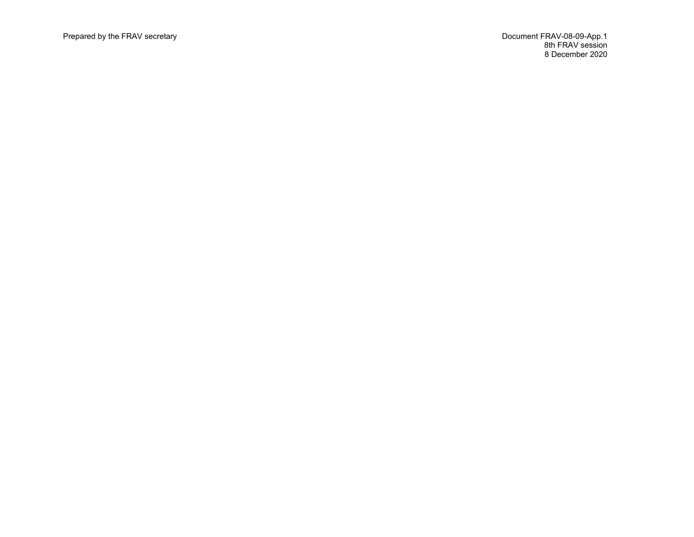Prepared by the FRAV secretary

- 0 8 -09 -App.1 8th FRAV session 8 December 2020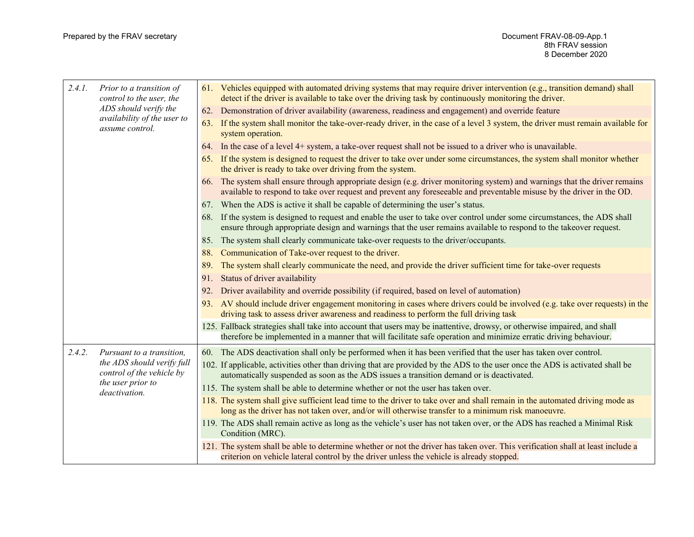| 2.4.1. | Prior to a transition of<br>control to the user, the<br>ADS should verify the<br>availability of the user to<br>assume control. | 61. Vehicles equipped with automated driving systems that may require driver intervention (e.g., transition demand) shall<br>detect if the driver is available to take over the driving task by continuously monitoring the driver.                     |
|--------|---------------------------------------------------------------------------------------------------------------------------------|---------------------------------------------------------------------------------------------------------------------------------------------------------------------------------------------------------------------------------------------------------|
|        |                                                                                                                                 | Demonstration of driver availability (awareness, readiness and engagement) and override feature<br>62.                                                                                                                                                  |
|        |                                                                                                                                 | If the system shall monitor the take-over-ready driver, in the case of a level 3 system, the driver must remain available for<br>63.<br>system operation.                                                                                               |
|        |                                                                                                                                 | 64. In the case of a level 4+ system, a take-over request shall not be issued to a driver who is unavailable.                                                                                                                                           |
|        |                                                                                                                                 | 65. If the system is designed to request the driver to take over under some circumstances, the system shall monitor whether<br>the driver is ready to take over driving from the system.                                                                |
|        |                                                                                                                                 | The system shall ensure through appropriate design (e.g. driver monitoring system) and warnings that the driver remains<br>66.<br>available to respond to take over request and prevent any foreseeable and preventable misuse by the driver in the OD. |
|        |                                                                                                                                 | 67. When the ADS is active it shall be capable of determining the user's status.                                                                                                                                                                        |
|        |                                                                                                                                 | 68. If the system is designed to request and enable the user to take over control under some circumstances, the ADS shall<br>ensure through appropriate design and warnings that the user remains available to respond to the takeover request.         |
|        |                                                                                                                                 | 85. The system shall clearly communicate take-over requests to the driver/occupants.                                                                                                                                                                    |
|        |                                                                                                                                 | Communication of Take-over request to the driver.<br>88.                                                                                                                                                                                                |
|        |                                                                                                                                 | The system shall clearly communicate the need, and provide the driver sufficient time for take-over requests<br>89.                                                                                                                                     |
|        |                                                                                                                                 | Status of driver availability<br>91.                                                                                                                                                                                                                    |
|        |                                                                                                                                 | Driver availability and override possibility (if required, based on level of automation)<br>92.                                                                                                                                                         |
|        |                                                                                                                                 | AV should include driver engagement monitoring in cases where drivers could be involved (e.g. take over requests) in the<br>93.<br>driving task to assess driver awareness and readiness to perform the full driving task                               |
|        |                                                                                                                                 | 125. Fallback strategies shall take into account that users may be inattentive, drowsy, or otherwise impaired, and shall<br>therefore be implemented in a manner that will facilitate safe operation and minimize erratic driving behaviour.            |
| 2.4.2. | Pursuant to a transition,                                                                                                       | 60. The ADS deactivation shall only be performed when it has been verified that the user has taken over control.                                                                                                                                        |
|        | the ADS should verify full<br>control of the vehicle by<br>the user prior to<br>deactivation.                                   | 102. If applicable, activities other than driving that are provided by the ADS to the user once the ADS is activated shall be<br>automatically suspended as soon as the ADS issues a transition demand or is deactivated.                               |
|        |                                                                                                                                 | 115. The system shall be able to determine whether or not the user has taken over.                                                                                                                                                                      |
|        |                                                                                                                                 | 118. The system shall give sufficient lead time to the driver to take over and shall remain in the automated driving mode as<br>long as the driver has not taken over, and/or will otherwise transfer to a minimum risk manoeuvre.                      |
|        |                                                                                                                                 | 119. The ADS shall remain active as long as the vehicle's user has not taken over, or the ADS has reached a Minimal Risk<br>Condition (MRC).                                                                                                            |
|        |                                                                                                                                 | 121. The system shall be able to determine whether or not the driver has taken over. This verification shall at least include a<br>criterion on vehicle lateral control by the driver unless the vehicle is already stopped.                            |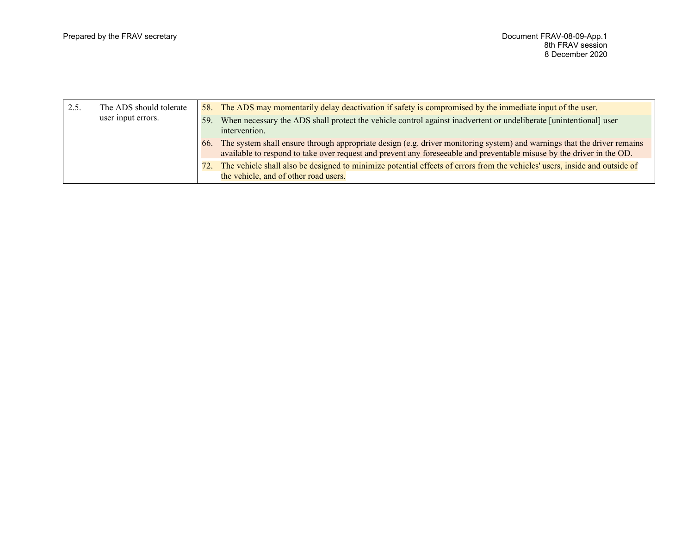| 2.5. | The ADS should tolerate<br>user input errors. |     | 58. The ADS may momentarily delay deactivation if safety is compromised by the immediate input of the user.                                                                                                                                      |
|------|-----------------------------------------------|-----|--------------------------------------------------------------------------------------------------------------------------------------------------------------------------------------------------------------------------------------------------|
|      |                                               | 59. | When necessary the ADS shall protect the vehicle control against inadvertent or undeliberate [unintentional] user<br>intervention.                                                                                                               |
|      |                                               | 66. | The system shall ensure through appropriate design (e.g. driver monitoring system) and warnings that the driver remains<br>available to respond to take over request and prevent any foreseeable and preventable misuse by the driver in the OD. |
|      |                                               | 72. | The vehicle shall also be designed to minimize potential effects of errors from the vehicles' users, inside and outside of<br>the vehicle, and of other road users.                                                                              |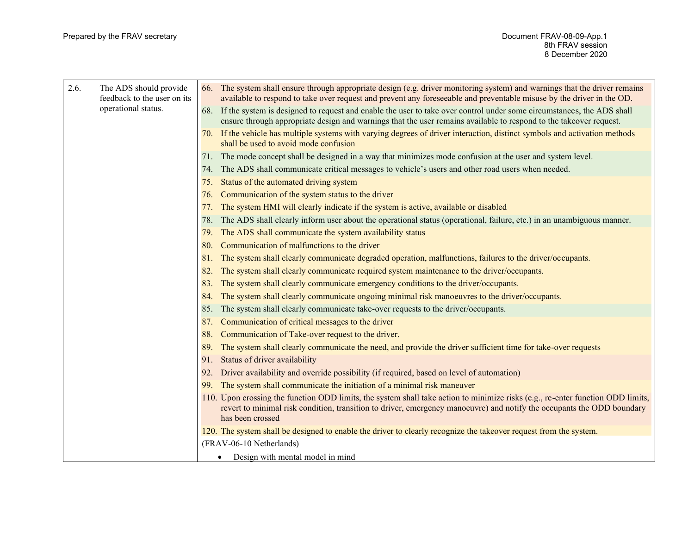| 2.6. | The ADS should provide<br>feedback to the user on its | The system shall ensure through appropriate design (e.g. driver monitoring system) and warnings that the driver remains<br>66.<br>available to respond to take over request and prevent any foreseeable and preventable misuse by the driver in the OD.                       |
|------|-------------------------------------------------------|-------------------------------------------------------------------------------------------------------------------------------------------------------------------------------------------------------------------------------------------------------------------------------|
|      | operational status.                                   | 68. If the system is designed to request and enable the user to take over control under some circumstances, the ADS shall<br>ensure through appropriate design and warnings that the user remains available to respond to the takeover request.                               |
|      |                                                       | 70. If the vehicle has multiple systems with varying degrees of driver interaction, distinct symbols and activation methods<br>shall be used to avoid mode confusion                                                                                                          |
|      |                                                       | 71. The mode concept shall be designed in a way that minimizes mode confusion at the user and system level.                                                                                                                                                                   |
|      |                                                       | 74. The ADS shall communicate critical messages to vehicle's users and other road users when needed.                                                                                                                                                                          |
|      |                                                       | Status of the automated driving system<br>75.                                                                                                                                                                                                                                 |
|      |                                                       | Communication of the system status to the driver<br>76.                                                                                                                                                                                                                       |
|      |                                                       | The system HMI will clearly indicate if the system is active, available or disabled<br>77.                                                                                                                                                                                    |
|      |                                                       | The ADS shall clearly inform user about the operational status (operational, failure, etc.) in an unambiguous manner.<br>78.                                                                                                                                                  |
|      |                                                       | The ADS shall communicate the system availability status<br>79.                                                                                                                                                                                                               |
|      |                                                       | Communication of malfunctions to the driver<br>80.                                                                                                                                                                                                                            |
|      |                                                       | The system shall clearly communicate degraded operation, malfunctions, failures to the driver/occupants.<br>81.                                                                                                                                                               |
|      |                                                       | The system shall clearly communicate required system maintenance to the driver/occupants.<br>82.                                                                                                                                                                              |
|      |                                                       | The system shall clearly communicate emergency conditions to the driver/occupants.<br>83.                                                                                                                                                                                     |
|      |                                                       | The system shall clearly communicate ongoing minimal risk manoeuvres to the driver/occupants.<br>84.                                                                                                                                                                          |
|      |                                                       | The system shall clearly communicate take-over requests to the driver/occupants.<br>85.                                                                                                                                                                                       |
|      |                                                       | Communication of critical messages to the driver<br>87.                                                                                                                                                                                                                       |
|      |                                                       | Communication of Take-over request to the driver.<br>88.                                                                                                                                                                                                                      |
|      |                                                       | The system shall clearly communicate the need, and provide the driver sufficient time for take-over requests<br>89.                                                                                                                                                           |
|      |                                                       | Status of driver availability<br>91.                                                                                                                                                                                                                                          |
|      |                                                       | Driver availability and override possibility (if required, based on level of automation)<br>92.                                                                                                                                                                               |
|      |                                                       | The system shall communicate the initiation of a minimal risk maneuver<br>99.                                                                                                                                                                                                 |
|      |                                                       | 110. Upon crossing the function ODD limits, the system shall take action to minimize risks (e.g., re-enter function ODD limits,<br>revert to minimal risk condition, transition to driver, emergency manoeuvre) and notify the occupants the ODD boundary<br>has been crossed |
|      |                                                       | 120. The system shall be designed to enable the driver to clearly recognize the takeover request from the system.                                                                                                                                                             |
|      |                                                       | (FRAV-06-10 Netherlands)                                                                                                                                                                                                                                                      |
|      |                                                       | Design with mental model in mind<br>$\bullet$                                                                                                                                                                                                                                 |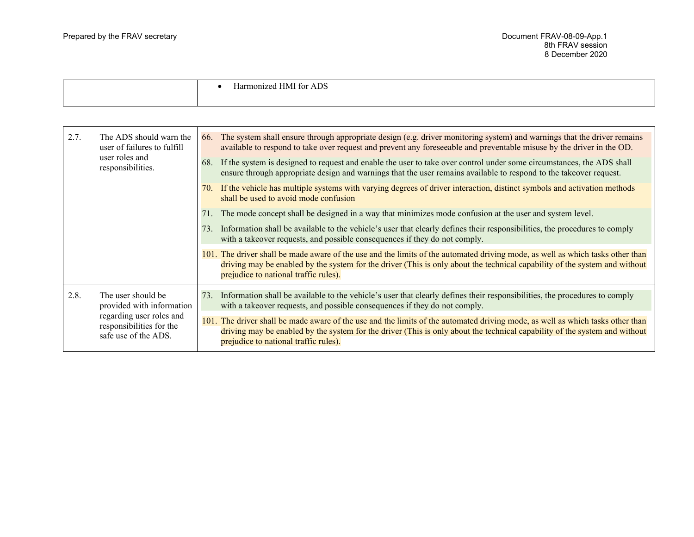| <b>ADS</b><br>$ -$<br>tor<br>. mon∙<br>HML<br>170C<br>$\overline{a}$ |
|----------------------------------------------------------------------|
|----------------------------------------------------------------------|

| 2.7. | The ADS should warn the<br>user of failures to fulfill<br>user roles and<br>responsibilities.                                   | The system shall ensure through appropriate design (e.g. driver monitoring system) and warnings that the driver remains<br>66.<br>available to respond to take over request and prevent any foreseeable and preventable misuse by the driver in the OD.                                               |
|------|---------------------------------------------------------------------------------------------------------------------------------|-------------------------------------------------------------------------------------------------------------------------------------------------------------------------------------------------------------------------------------------------------------------------------------------------------|
|      |                                                                                                                                 | If the system is designed to request and enable the user to take over control under some circumstances, the ADS shall<br>68.<br>ensure through appropriate design and warnings that the user remains available to respond to the takeover request.                                                    |
|      |                                                                                                                                 | If the vehicle has multiple systems with varying degrees of driver interaction, distinct symbols and activation methods<br>70.<br>shall be used to avoid mode confusion                                                                                                                               |
|      |                                                                                                                                 | 71. The mode concept shall be designed in a way that minimizes mode confusion at the user and system level.                                                                                                                                                                                           |
|      |                                                                                                                                 | Information shall be available to the vehicle's user that clearly defines their responsibilities, the procedures to comply<br>73.<br>with a takeover requests, and possible consequences if they do not comply.                                                                                       |
|      |                                                                                                                                 | 101. The driver shall be made aware of the use and the limits of the automated driving mode, as well as which tasks other than<br>driving may be enabled by the system for the driver (This is only about the technical capability of the system and without<br>prejudice to national traffic rules). |
| 2.8. | The user should be<br>provided with information<br>regarding user roles and<br>responsibilities for the<br>safe use of the ADS. | Information shall be available to the vehicle's user that clearly defines their responsibilities, the procedures to comply<br>73.<br>with a takeover requests, and possible consequences if they do not comply.                                                                                       |
|      |                                                                                                                                 | 101. The driver shall be made aware of the use and the limits of the automated driving mode, as well as which tasks other than<br>driving may be enabled by the system for the driver (This is only about the technical capability of the system and without<br>prejudice to national traffic rules). |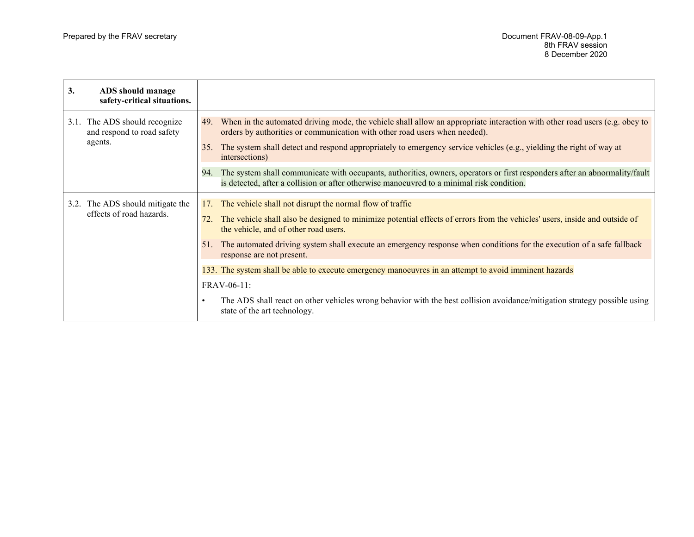| 3.<br>ADS should manage<br>safety-critical situations.                 |                                                                                                                                                                                                                                                                                                                                                                                                                                                                                                                                                                                                                                                                                                           |
|------------------------------------------------------------------------|-----------------------------------------------------------------------------------------------------------------------------------------------------------------------------------------------------------------------------------------------------------------------------------------------------------------------------------------------------------------------------------------------------------------------------------------------------------------------------------------------------------------------------------------------------------------------------------------------------------------------------------------------------------------------------------------------------------|
| 3.1. The ADS should recognize<br>and respond to road safety<br>agents. | When in the automated driving mode, the vehicle shall allow an appropriate interaction with other road users (e.g. obey to<br>49.<br>orders by authorities or communication with other road users when needed).<br>The system shall detect and respond appropriately to emergency service vehicles (e.g., yielding the right of way at<br>35.<br>intersections)<br>The system shall communicate with occupants, authorities, owners, operators or first responders after an abnormality/fault<br>94.<br>is detected, after a collision or after otherwise manoeuvred to a minimal risk condition.                                                                                                         |
| 3.2. The ADS should mitigate the<br>effects of road hazards.           | 17. The vehicle shall not disrupt the normal flow of traffic<br>The vehicle shall also be designed to minimize potential effects of errors from the vehicles' users, inside and outside of<br>72.<br>the vehicle, and of other road users.<br>The automated driving system shall execute an emergency response when conditions for the execution of a safe fallback<br>51.<br>response are not present.<br>133. The system shall be able to execute emergency manoeuvres in an attempt to avoid imminent hazards<br>FRAV-06-11:<br>The ADS shall react on other vehicles wrong behavior with the best collision avoidance/mitigation strategy possible using<br>$\bullet$<br>state of the art technology. |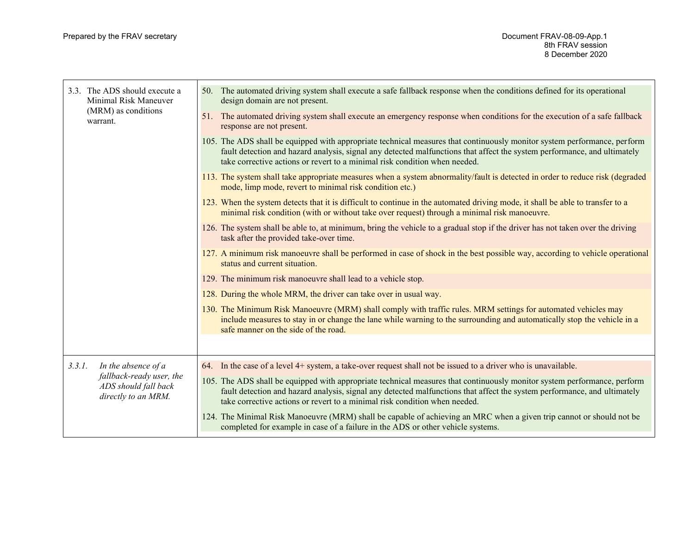| 50. The automated driving system shall execute a safe fallback response when the conditions defined for its operational<br>design domain are not present.                                                                                                                                                                          |
|------------------------------------------------------------------------------------------------------------------------------------------------------------------------------------------------------------------------------------------------------------------------------------------------------------------------------------|
| The automated driving system shall execute an emergency response when conditions for the execution of a safe fallback<br>51.<br>response are not present.                                                                                                                                                                          |
| 105. The ADS shall be equipped with appropriate technical measures that continuously monitor system performance, perform<br>fault detection and hazard analysis, signal any detected malfunctions that affect the system performance, and ultimately<br>take corrective actions or revert to a minimal risk condition when needed. |
| 113. The system shall take appropriate measures when a system abnormality/fault is detected in order to reduce risk (degraded<br>mode, limp mode, revert to minimal risk condition etc.)                                                                                                                                           |
| 123. When the system detects that it is difficult to continue in the automated driving mode, it shall be able to transfer to a<br>minimal risk condition (with or without take over request) through a minimal risk manoeuvre.                                                                                                     |
| 126. The system shall be able to, at minimum, bring the vehicle to a gradual stop if the driver has not taken over the driving<br>task after the provided take-over time.                                                                                                                                                          |
| 127. A minimum risk manoeuvre shall be performed in case of shock in the best possible way, according to vehicle operational<br>status and current situation.                                                                                                                                                                      |
| 129. The minimum risk manoeuvre shall lead to a vehicle stop.                                                                                                                                                                                                                                                                      |
| 128. During the whole MRM, the driver can take over in usual way.                                                                                                                                                                                                                                                                  |
| 130. The Minimum Risk Manoeuvre (MRM) shall comply with traffic rules. MRM settings for automated vehicles may<br>include measures to stay in or change the lane while warning to the surrounding and automatically stop the vehicle in a<br>safe manner on the side of the road.                                                  |
|                                                                                                                                                                                                                                                                                                                                    |
| 64. In the case of a level 4+ system, a take-over request shall not be issued to a driver who is unavailable.                                                                                                                                                                                                                      |
| 105. The ADS shall be equipped with appropriate technical measures that continuously monitor system performance, perform<br>fault detection and hazard analysis, signal any detected malfunctions that affect the system performance, and ultimately<br>take corrective actions or revert to a minimal risk condition when needed. |
| 124. The Minimal Risk Manoeuvre (MRM) shall be capable of achieving an MRC when a given trip cannot or should not be<br>completed for example in case of a failure in the ADS or other vehicle systems.                                                                                                                            |
|                                                                                                                                                                                                                                                                                                                                    |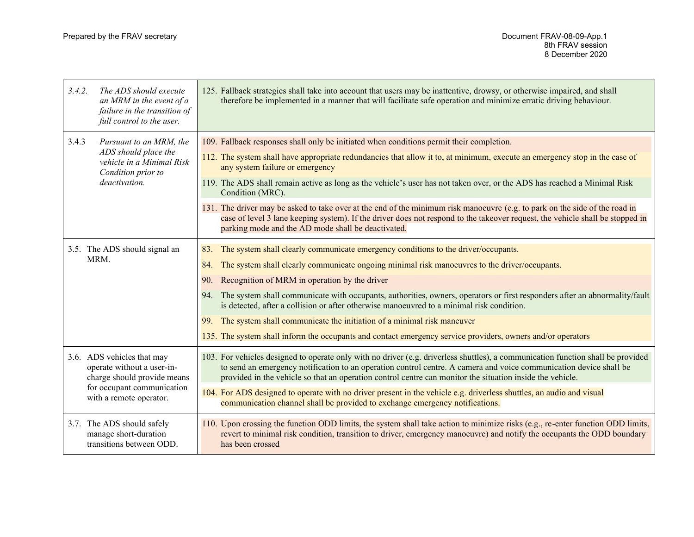| 3.4.2. | The ADS should execute<br>an MRM in the event of a<br>failure in the transition of<br>full control to the user.                                  | 125. Fallback strategies shall take into account that users may be inattentive, drowsy, or otherwise impaired, and shall<br>therefore be implemented in a manner that will facilitate safe operation and minimize erratic driving behaviour.                                                                                                                                                                                                                                                                                                                                                                                                                                                                                    |
|--------|--------------------------------------------------------------------------------------------------------------------------------------------------|---------------------------------------------------------------------------------------------------------------------------------------------------------------------------------------------------------------------------------------------------------------------------------------------------------------------------------------------------------------------------------------------------------------------------------------------------------------------------------------------------------------------------------------------------------------------------------------------------------------------------------------------------------------------------------------------------------------------------------|
| 3.4.3  | Pursuant to an MRM, the<br>ADS should place the<br>vehicle in a Minimal Risk<br>Condition prior to<br>deactivation.                              | 109. Fallback responses shall only be initiated when conditions permit their completion.<br>112. The system shall have appropriate redundancies that allow it to, at minimum, execute an emergency stop in the case of<br>any system failure or emergency<br>119. The ADS shall remain active as long as the vehicle's user has not taken over, or the ADS has reached a Minimal Risk<br>Condition (MRC).<br>131. The driver may be asked to take over at the end of the minimum risk manoeuvre (e.g. to park on the side of the road in<br>case of level 3 lane keeping system). If the driver does not respond to the takeover request, the vehicle shall be stopped in<br>parking mode and the AD mode shall be deactivated. |
|        | 3.5. The ADS should signal an<br>MRM.                                                                                                            | The system shall clearly communicate emergency conditions to the driver/occupants.<br>83.<br>The system shall clearly communicate ongoing minimal risk manoeuvres to the driver/occupants.<br>84.<br>Recognition of MRM in operation by the driver<br>90.<br>The system shall communicate with occupants, authorities, owners, operators or first responders after an abnormality/fault<br>94.<br>is detected, after a collision or after otherwise manoeuvred to a minimal risk condition.<br>The system shall communicate the initiation of a minimal risk maneuver<br>99.<br>135. The system shall inform the occupants and contact emergency service providers, owners and/or operators                                     |
|        | 3.6. ADS vehicles that may<br>operate without a user-in-<br>charge should provide means<br>for occupant communication<br>with a remote operator. | 103. For vehicles designed to operate only with no driver (e.g. driverless shuttles), a communication function shall be provided<br>to send an emergency notification to an operation control centre. A camera and voice communication device shall be<br>provided in the vehicle so that an operation control centre can monitor the situation inside the vehicle.<br>104. For ADS designed to operate with no driver present in the vehicle e.g. driverless shuttles, an audio and visual<br>communication channel shall be provided to exchange emergency notifications.                                                                                                                                                     |
|        | 3.7. The ADS should safely<br>manage short-duration<br>transitions between ODD.                                                                  | 110. Upon crossing the function ODD limits, the system shall take action to minimize risks (e.g., re-enter function ODD limits,<br>revert to minimal risk condition, transition to driver, emergency manoeuvre) and notify the occupants the ODD boundary<br>has been crossed                                                                                                                                                                                                                                                                                                                                                                                                                                                   |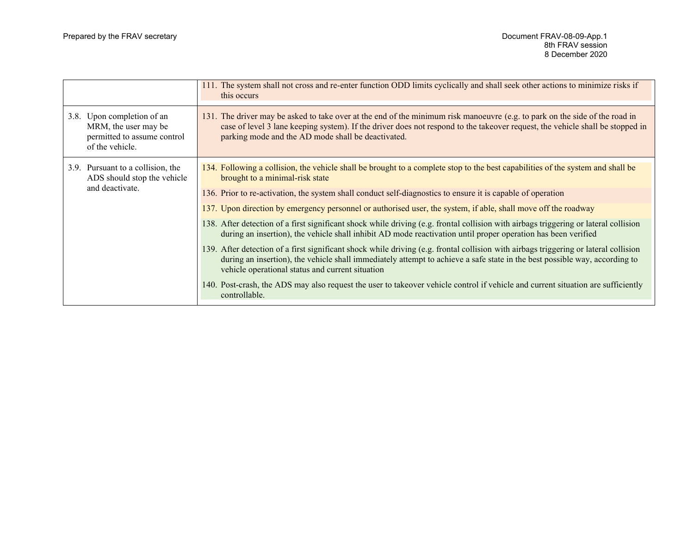|                                                                                                      | 111. The system shall not cross and re-enter function ODD limits cyclically and shall seek other actions to minimize risks if<br>this occurs                                                                                                                                                                           |
|------------------------------------------------------------------------------------------------------|------------------------------------------------------------------------------------------------------------------------------------------------------------------------------------------------------------------------------------------------------------------------------------------------------------------------|
| 3.8. Upon completion of an<br>MRM, the user may be<br>permitted to assume control<br>of the vehicle. | 131. The driver may be asked to take over at the end of the minimum risk manoeuvre (e.g. to park on the side of the road in<br>case of level 3 lane keeping system). If the driver does not respond to the takeover request, the vehicle shall be stopped in<br>parking mode and the AD mode shall be deactivated.     |
| 3.9. Pursuant to a collision, the<br>ADS should stop the vehicle                                     | 134. Following a collision, the vehicle shall be brought to a complete stop to the best capabilities of the system and shall be<br>brought to a minimal-risk state                                                                                                                                                     |
| and deactivate.                                                                                      | 136. Prior to re-activation, the system shall conduct self-diagnostics to ensure it is capable of operation                                                                                                                                                                                                            |
|                                                                                                      | 137. Upon direction by emergency personnel or authorised user, the system, if able, shall move off the roadway                                                                                                                                                                                                         |
|                                                                                                      | 138. After detection of a first significant shock while driving (e.g. frontal collision with airbags triggering or lateral collision<br>during an insertion), the vehicle shall inhibit AD mode reactivation until proper operation has been verified                                                                  |
|                                                                                                      | 139. After detection of a first significant shock while driving (e.g. frontal collision with airbags triggering or lateral collision<br>during an insertion), the vehicle shall immediately attempt to achieve a safe state in the best possible way, according to<br>vehicle operational status and current situation |
|                                                                                                      | 140. Post-crash, the ADS may also request the user to take over vehicle control if vehicle and current situation are sufficiently<br>controllable.                                                                                                                                                                     |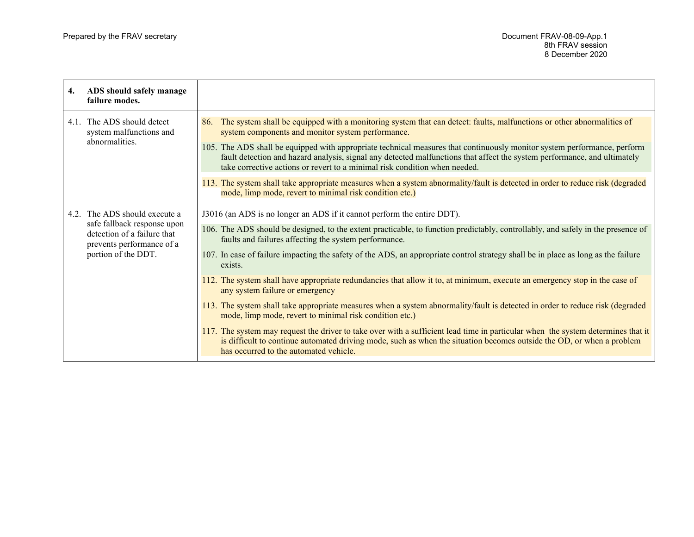| 4.<br>failure modes.                                 | ADS should safely manage                                                                |                                                                                                                                                                                                                                                                                                                                                                                                                                                                                                                                                                                                                                                                                                                                                                                                                                                                                                                                                                                                                                                                                          |
|------------------------------------------------------|-----------------------------------------------------------------------------------------|------------------------------------------------------------------------------------------------------------------------------------------------------------------------------------------------------------------------------------------------------------------------------------------------------------------------------------------------------------------------------------------------------------------------------------------------------------------------------------------------------------------------------------------------------------------------------------------------------------------------------------------------------------------------------------------------------------------------------------------------------------------------------------------------------------------------------------------------------------------------------------------------------------------------------------------------------------------------------------------------------------------------------------------------------------------------------------------|
| 4.1. The ADS should detect<br>abnormalities.         | system malfunctions and                                                                 | The system shall be equipped with a monitoring system that can detect: faults, malfunctions or other abnormalities of<br>86.<br>system components and monitor system performance.<br>105. The ADS shall be equipped with appropriate technical measures that continuously monitor system performance, perform<br>fault detection and hazard analysis, signal any detected malfunctions that affect the system performance, and ultimately<br>take corrective actions or revert to a minimal risk condition when needed.<br>113. The system shall take appropriate measures when a system abnormality/fault is detected in order to reduce risk (degraded<br>mode, limp mode, revert to minimal risk condition etc.)                                                                                                                                                                                                                                                                                                                                                                      |
| 4.2. The ADS should execute a<br>portion of the DDT. | safe fallback response upon<br>detection of a failure that<br>prevents performance of a | J3016 (an ADS is no longer an ADS if it cannot perform the entire DDT).<br>106. The ADS should be designed, to the extent practicable, to function predictably, controllably, and safely in the presence of<br>faults and failures affecting the system performance.<br>107. In case of failure impacting the safety of the ADS, an appropriate control strategy shall be in place as long as the failure<br>exists.<br>112. The system shall have appropriate redundancies that allow it to, at minimum, execute an emergency stop in the case of<br>any system failure or emergency<br>113. The system shall take appropriate measures when a system abnormality/fault is detected in order to reduce risk (degraded<br>mode, limp mode, revert to minimal risk condition etc.)<br>117. The system may request the driver to take over with a sufficient lead time in particular when the system determines that it<br>is difficult to continue automated driving mode, such as when the situation becomes outside the OD, or when a problem<br>has occurred to the automated vehicle. |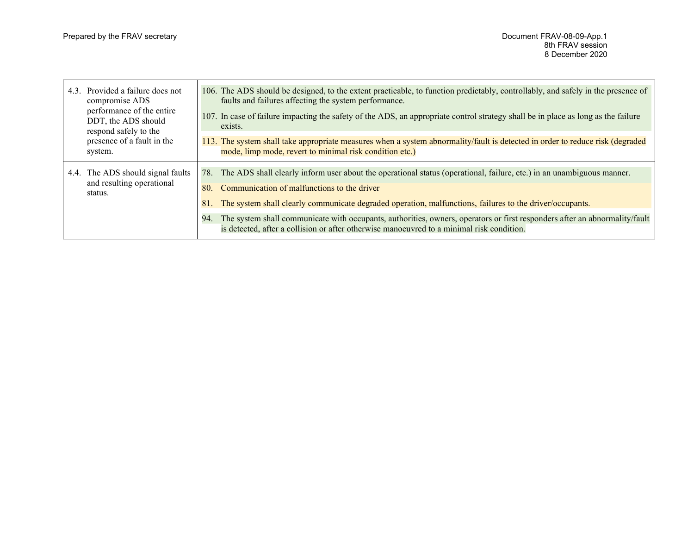| Provided a failure does not<br>4.3.<br>compromise ADS<br>performance of the entire<br>DDT, the ADS should<br>respond safely to the | 106. The ADS should be designed, to the extent practicable, to function predictably, controllably, and safely in the presence of<br>faults and failures affecting the system performance.<br>107. In case of failure impacting the safety of the ADS, an appropriate control strategy shall be in place as long as the failure<br>exists.                                                                                                                                                                                               |
|------------------------------------------------------------------------------------------------------------------------------------|-----------------------------------------------------------------------------------------------------------------------------------------------------------------------------------------------------------------------------------------------------------------------------------------------------------------------------------------------------------------------------------------------------------------------------------------------------------------------------------------------------------------------------------------|
| presence of a fault in the<br>system.                                                                                              | 113. The system shall take appropriate measures when a system abnormality/fault is detected in order to reduce risk (degraded<br>mode, limp mode, revert to minimal risk condition etc.)                                                                                                                                                                                                                                                                                                                                                |
| 4.4. The ADS should signal faults<br>and resulting operational<br>status.                                                          | The ADS shall clearly inform user about the operational status (operational, failure, etc.) in an unambiguous manner.<br>78.<br>Communication of malfunctions to the driver<br>80.<br>The system shall clearly communicate degraded operation, malfunctions, failures to the driver/occupants.<br>81.<br>The system shall communicate with occupants, authorities, owners, operators or first responders after an abnormality/fault<br>94.<br>is detected, after a collision or after otherwise manoeuvred to a minimal risk condition. |